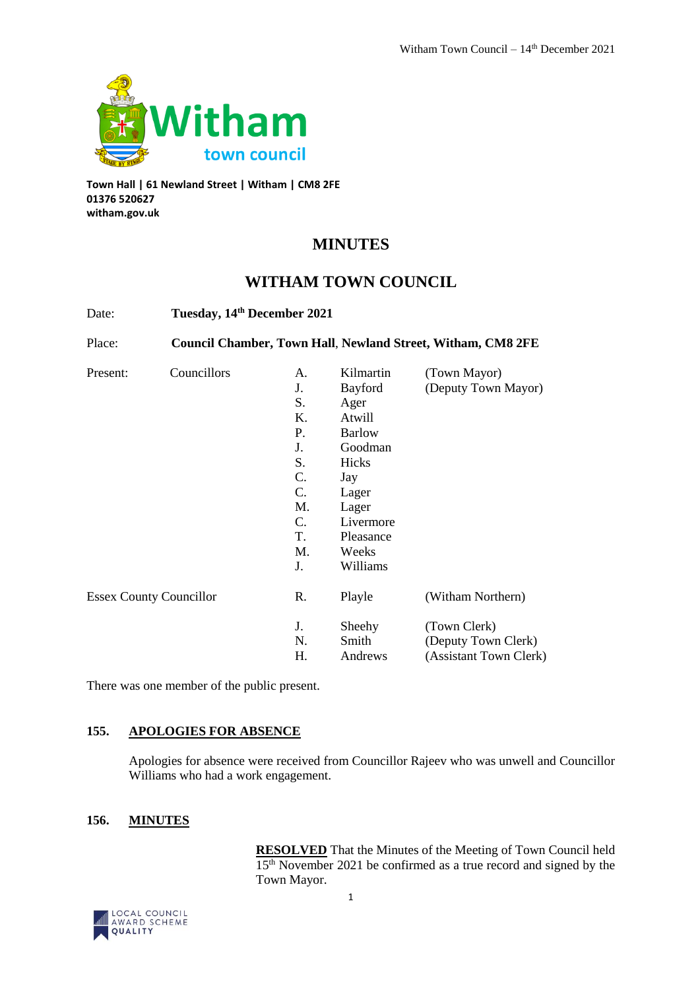

**Town Hall | 61 Newland Street | Witham | CM8 2FE 01376 520627 witham.gov.uk**

# **MINUTES**

# **WITHAM TOWN COUNCIL**

| Date:                          | Tuesday, 14th December 2021<br><b>Council Chamber, Town Hall, Newland Street, Witham, CM8 2FE</b> |                                                                                           |                                                                                                                                                     |                                                               |
|--------------------------------|---------------------------------------------------------------------------------------------------|-------------------------------------------------------------------------------------------|-----------------------------------------------------------------------------------------------------------------------------------------------------|---------------------------------------------------------------|
| Place:                         |                                                                                                   |                                                                                           |                                                                                                                                                     |                                                               |
| Present:                       | Councillors                                                                                       | А.<br>J.<br>S.<br>Κ.<br>P.<br>J.<br>S.<br>C.<br>C.<br>M.<br>$C_{\cdot}$<br>T.<br>M.<br>J. | Kilmartin<br>Bayford<br>Ager<br>Atwill<br><b>Barlow</b><br>Goodman<br>Hicks<br>Jay<br>Lager<br>Lager<br>Livermore<br>Pleasance<br>Weeks<br>Williams | (Town Mayor)<br>(Deputy Town Mayor)                           |
| <b>Essex County Councillor</b> |                                                                                                   | R.                                                                                        | Playle                                                                                                                                              | (Witham Northern)                                             |
|                                |                                                                                                   | J.<br>N.<br>Н.                                                                            | Sheehy<br>Smith<br>Andrews                                                                                                                          | (Town Clerk)<br>(Deputy Town Clerk)<br>(Assistant Town Clerk) |

There was one member of the public present.

## **155. APOLOGIES FOR ABSENCE**

Apologies for absence were received from Councillor Rajeev who was unwell and Councillor Williams who had a work engagement.

## **156. MINUTES**

**RESOLVED** That the Minutes of the Meeting of Town Council held 15th November 2021 be confirmed as a true record and signed by the Town Mayor.

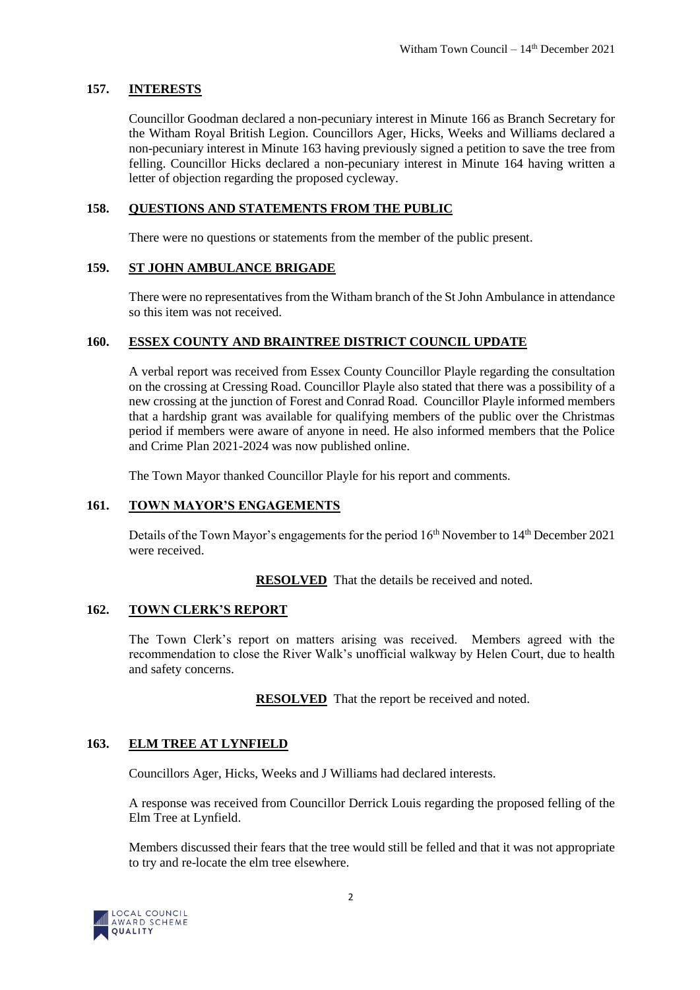## **157. INTERESTS**

Councillor Goodman declared a non-pecuniary interest in Minute 166 as Branch Secretary for the Witham Royal British Legion. Councillors Ager, Hicks, Weeks and Williams declared a non-pecuniary interest in Minute 163 having previously signed a petition to save the tree from felling. Councillor Hicks declared a non-pecuniary interest in Minute 164 having written a letter of objection regarding the proposed cycleway.

## **158. QUESTIONS AND STATEMENTS FROM THE PUBLIC**

There were no questions or statements from the member of the public present.

## **159. ST JOHN AMBULANCE BRIGADE**

There were no representatives from the Witham branch of the St John Ambulance in attendance so this item was not received.

## **160. ESSEX COUNTY AND BRAINTREE DISTRICT COUNCIL UPDATE**

A verbal report was received from Essex County Councillor Playle regarding the consultation on the crossing at Cressing Road. Councillor Playle also stated that there was a possibility of a new crossing at the junction of Forest and Conrad Road. Councillor Playle informed members that a hardship grant was available for qualifying members of the public over the Christmas period if members were aware of anyone in need. He also informed members that the Police and Crime Plan 2021-2024 was now published online.

The Town Mayor thanked Councillor Playle for his report and comments.

## **161. TOWN MAYOR'S ENGAGEMENTS**

Details of the Town Mayor's engagements for the period  $16<sup>th</sup>$  November to  $14<sup>th</sup>$  December 2021 were received.

**RESOLVED** That the details be received and noted.

## **162. TOWN CLERK'S REPORT**

The Town Clerk's report on matters arising was received. Members agreed with the recommendation to close the River Walk's unofficial walkway by Helen Court, due to health and safety concerns.

**RESOLVED** That the report be received and noted.

## **163. ELM TREE AT LYNFIELD**

Councillors Ager, Hicks, Weeks and J Williams had declared interests.

A response was received from Councillor Derrick Louis regarding the proposed felling of the Elm Tree at Lynfield.

Members discussed their fears that the tree would still be felled and that it was not appropriate to try and re-locate the elm tree elsewhere.

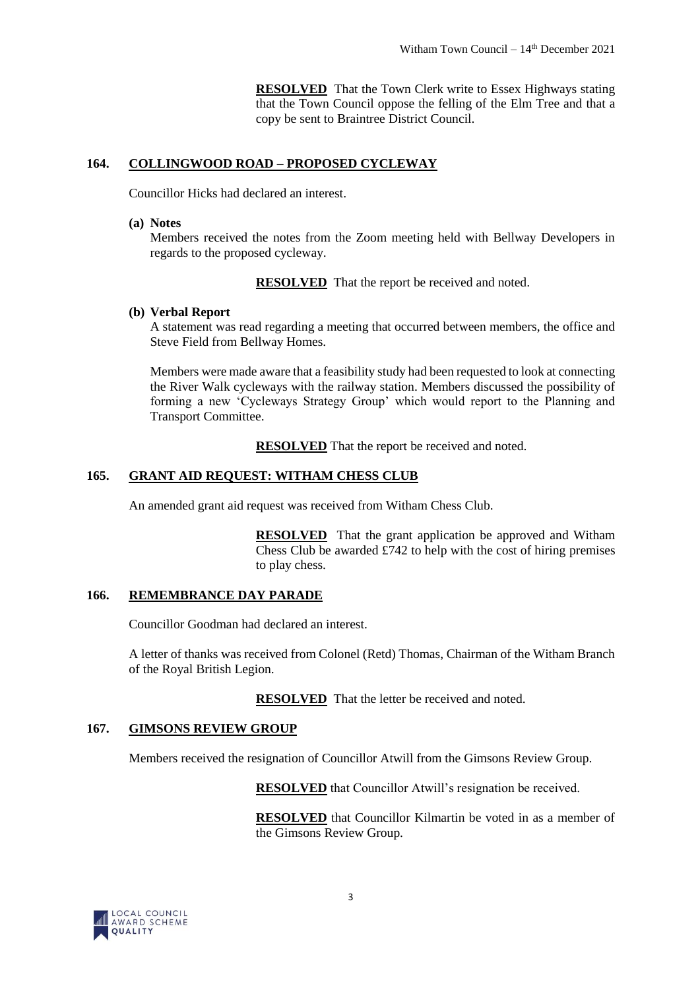**RESOLVED** That the Town Clerk write to Essex Highways stating that the Town Council oppose the felling of the Elm Tree and that a copy be sent to Braintree District Council.

## **164. COLLINGWOOD ROAD – PROPOSED CYCLEWAY**

Councillor Hicks had declared an interest.

#### **(a) Notes**

Members received the notes from the Zoom meeting held with Bellway Developers in regards to the proposed cycleway.

**RESOLVED** That the report be received and noted.

## **(b) Verbal Report**

A statement was read regarding a meeting that occurred between members, the office and Steve Field from Bellway Homes.

Members were made aware that a feasibility study had been requested to look at connecting the River Walk cycleways with the railway station. Members discussed the possibility of forming a new 'Cycleways Strategy Group' which would report to the Planning and Transport Committee.

**RESOLVED** That the report be received and noted.

## **165. GRANT AID REQUEST: WITHAM CHESS CLUB**

An amended grant aid request was received from Witham Chess Club.

**RESOLVED** That the grant application be approved and Witham Chess Club be awarded £742 to help with the cost of hiring premises to play chess.

## **166. REMEMBRANCE DAY PARADE**

Councillor Goodman had declared an interest.

A letter of thanks was received from Colonel (Retd) Thomas, Chairman of the Witham Branch of the Royal British Legion.

**RESOLVED** That the letter be received and noted.

## **167. GIMSONS REVIEW GROUP**

Members received the resignation of Councillor Atwill from the Gimsons Review Group.

**RESOLVED** that Councillor Atwill's resignation be received.

**RESOLVED** that Councillor Kilmartin be voted in as a member of the Gimsons Review Group.